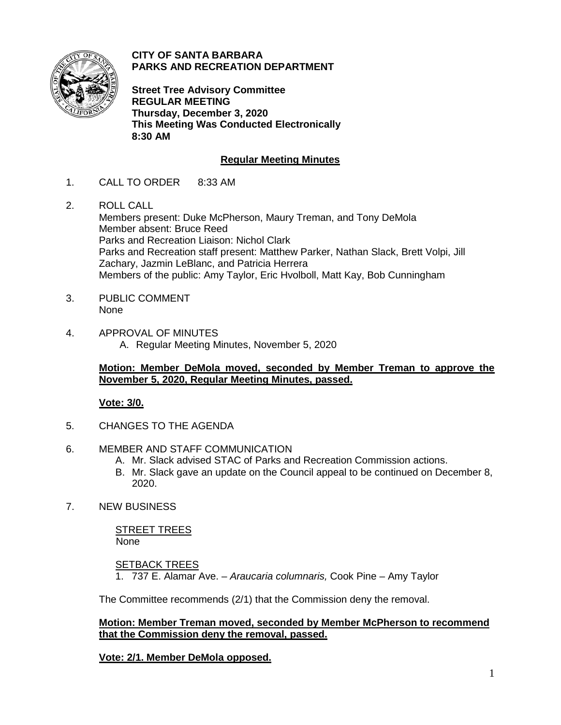

**CITY OF SANTA BARBARA PARKS AND RECREATION DEPARTMENT**

**Street Tree Advisory Committee REGULAR MEETING Thursday, December 3, 2020 This Meeting Was Conducted Electronically 8:30 AM**

# **Regular Meeting Minutes**

- 1. CALL TO ORDER 8:33 AM
- 2. ROLL CALL

Members present: Duke McPherson, Maury Treman, and Tony DeMola Member absent: Bruce Reed Parks and Recreation Liaison: Nichol Clark Parks and Recreation staff present: Matthew Parker, Nathan Slack, Brett Volpi, Jill Zachary, Jazmin LeBlanc, and Patricia Herrera Members of the public: Amy Taylor, Eric Hvolboll, Matt Kay, Bob Cunningham

- 3. PUBLIC COMMENT None
- 4. APPROVAL OF MINUTES A. Regular Meeting Minutes, November 5, 2020

## **Motion: Member DeMola moved, seconded by Member Treman to approve the November 5, 2020, Regular Meeting Minutes, passed.**

## **Vote: 3/0.**

- 5. CHANGES TO THE AGENDA
- 6. MEMBER AND STAFF COMMUNICATION
	- A. Mr. Slack advised STAC of Parks and Recreation Commission actions.
	- B. Mr. Slack gave an update on the Council appeal to be continued on December 8, 2020.
- 7. NEW BUSINESS

STREET TREES None

**SETBACK TREES** 

1. 737 E. Alamar Ave. – *Araucaria columnaris,* Cook Pine – Amy Taylor

The Committee recommends (2/1) that the Commission deny the removal.

**Motion: Member Treman moved, seconded by Member McPherson to recommend that the Commission deny the removal, passed.**

**Vote: 2/1. Member DeMola opposed.**